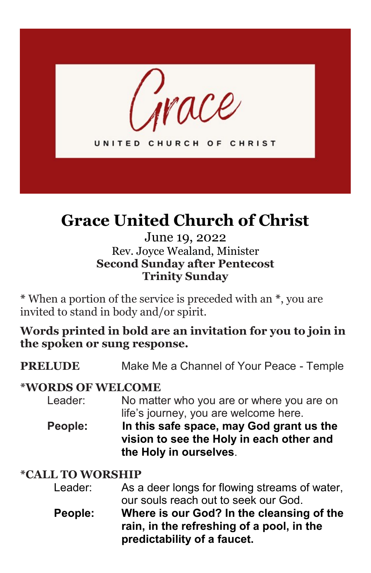

# **Grace United Church of Christ**

June 19, 2022 Rev. Joyce Wealand, Minister **Second Sunday after Pentecost Trinity Sunday**

**\*** When a portion of the service is preceded with an **\***, you are invited to stand in body and/or spirit.

**Words printed in bold are an invitation for you to join in the spoken or sung response.**

**PRELUDE** Make Me a Channel of Your Peace - Temple

#### **\*WORDS OF WELCOME**

| Leader: | No matter who you are or where you are on                                            |  |
|---------|--------------------------------------------------------------------------------------|--|
|         | life's journey, you are welcome here.                                                |  |
| People: | In this safe space, may God grant us the<br>vision to see the Holy in each other and |  |
|         | the Holy in ourselves.                                                               |  |

#### **\*CALL TO WORSHIP**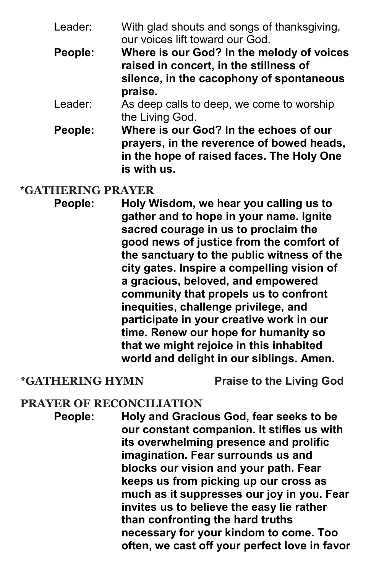- Leader: With glad shouts and songs of thanksgiving, our voices lift toward our God. **People: Where is our God? In the melody of voices raised in concert, in the stillness of** 
	- **silence, in the cacophony of spontaneous praise.**
- Leader: As deep calls to deep, we come to worship the Living God.
- **People: Where is our God? In the echoes of our prayers, in the reverence of bowed heads, in the hope of raised faces. The Holy One is with us.**

#### **\*GATHERING PRAYER**

**People: Holy Wisdom, we hear you calling us to gather and to hope in your name. Ignite sacred courage in us to proclaim the good news of justice from the comfort of the sanctuary to the public witness of the city gates. Inspire a compelling vision of a gracious, beloved, and empowered community that propels us to confront inequities, challenge privilege, and participate in your creative work in our time. Renew our hope for humanity so that we might rejoice in this inhabited world and delight in our siblings. Amen.**

**\*GATHERING HYMN Praise to the Living God**

### **PRAYER OF RECONCILIATION**

**People: Holy and Gracious God, fear seeks to be our constant companion. It stifles us with its overwhelming presence and prolific imagination. Fear surrounds us and blocks our vision and your path. Fear keeps us from picking up our cross as much as it suppresses our joy in you. Fear invites us to believe the easy lie rather than confronting the hard truths necessary for your kindom to come. Too often, we cast off your perfect love in favor**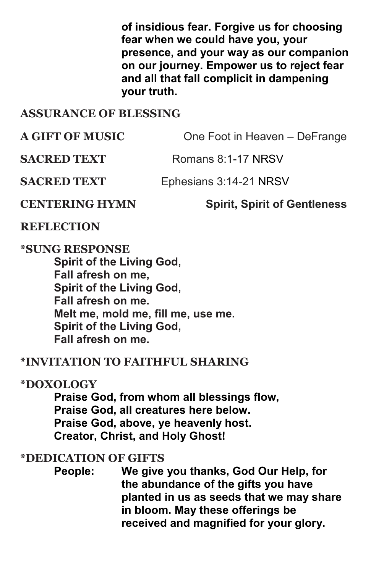**of insidious fear. Forgive us for choosing fear when we could have you, your presence, and your way as our companion on our journey. Empower us to reject fear and all that fall complicit in dampening your truth.**

#### **ASSURANCE OF BLESSING**

| <b>A GIFT OF MUSIC</b> | One Foot in Heaven - DeFrange |
|------------------------|-------------------------------|
|                        |                               |

**SACRED TEXT** Romans 8:1-17 NRSV

**SACRED TEXT** Ephesians 3:14-21 NRSV

**CENTERING HYMN Spirit, Spirit of Gentleness**

#### **REFLECTION**

**\*SUNG RESPONSE**

**Spirit of the Living God, Fall afresh on me, Spirit of the Living God, Fall afresh on me. Melt me, mold me, fill me, use me. Spirit of the Living God, Fall afresh on me.**

#### **\*INVITATION TO FAITHFUL SHARING**

#### **\*DOXOLOGY**

**Praise God, from whom all blessings flow, Praise God, all creatures here below. Praise God, above, ye heavenly host. Creator, Christ, and Holy Ghost!**

### **\*DEDICATION OF GIFTS**

**People: We give you thanks, God Our Help, for the abundance of the gifts you have planted in us as seeds that we may share in bloom. May these offerings be received and magnified for your glory.**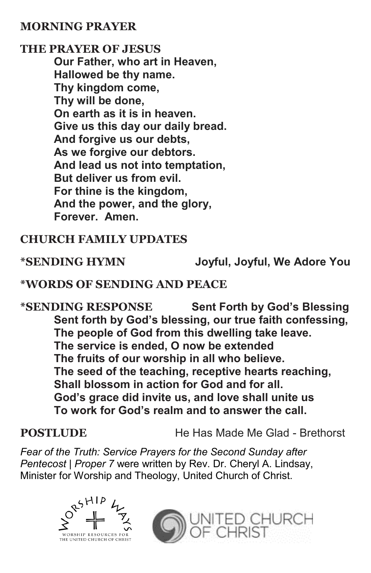#### **MORNING PRAYER**

### **THE PRAYER OF JESUS**

**Our Father, who art in Heaven, Hallowed be thy name. Thy kingdom come, Thy will be done, On earth as it is in heaven. Give us this day our daily bread. And forgive us our debts, As we forgive our debtors. And lead us not into temptation, But deliver us from evil. For thine is the kingdom, And the power, and the glory, Forever. Amen.**

#### **CHURCH FAMILY UPDATES**

**\*SENDING HYMN Joyful, Joyful, We Adore You**

#### **\*WORDS OF SENDING AND PEACE**

**\*SENDING RESPONSE Sent Forth by God's Blessing Sent forth by God's blessing, our true faith confessing, The people of God from this dwelling take leave. The service is ended, O now be extended The fruits of our worship in all who believe. The seed of the teaching, receptive hearts reaching, Shall blossom in action for God and for all. God's grace did invite us, and love shall unite us To work for God's realm and to answer the call.**

**POSTLUDE He Has Made Me Glad - Brethorst** 

*Fear of the Truth: Service Prayers for the Second Sunday after Pentecost | Proper 7* were written by Rev. Dr. Cheryl A. Lindsay, Minister for Worship and Theology, United Church of Christ.